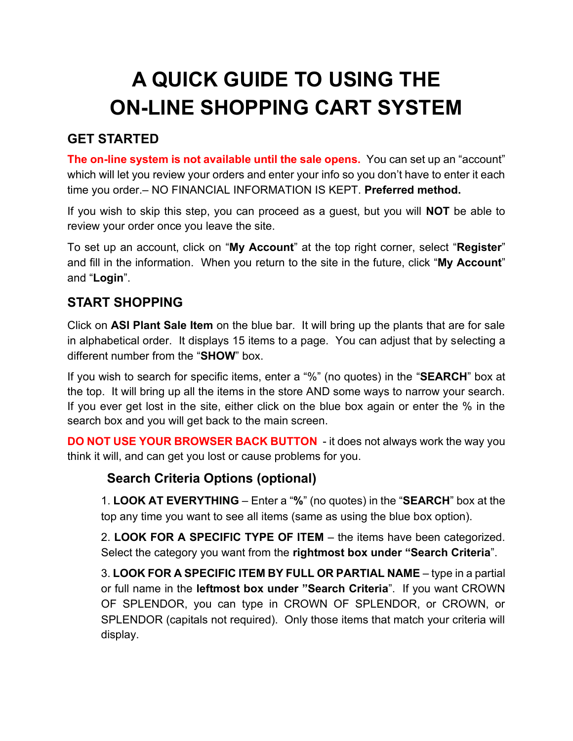# **A QUICK GUIDE TO USING THE ON-LINE SHOPPING CART SYSTEM**

## **GET STARTED**

**The on-line system is not available until the sale opens.** You can set up an "account" which will let you review your orders and enter your info so you don't have to enter it each time you order.– NO FINANCIAL INFORMATION IS KEPT. **Preferred method.**

If you wish to skip this step, you can proceed as a guest, but you will **NOT** be able to review your order once you leave the site.

To set up an account, click on "**My Account**" at the top right corner, select "**Register**" and fill in the information. When you return to the site in the future, click "**My Account**" and "**Login**".

## **START SHOPPING**

Click on **ASI Plant Sale Item** on the blue bar. It will bring up the plants that are for sale in alphabetical order. It displays 15 items to a page. You can adjust that by selecting a different number from the "**SHOW**" box.

If you wish to search for specific items, enter a "%" (no quotes) in the "**SEARCH**" box at the top. It will bring up all the items in the store AND some ways to narrow your search. If you ever get lost in the site, either click on the blue box again or enter the % in the search box and you will get back to the main screen.

**DO NOT USE YOUR BROWSER BACK BUTTON** - it does not always work the way you think it will, and can get you lost or cause problems for you.

## **Search Criteria Options (optional)**

1. **LOOK AT EVERYTHING** – Enter a "**%**" (no quotes) in the "**SEARCH**" box at the top any time you want to see all items (same as using the blue box option).

2. **LOOK FOR A SPECIFIC TYPE OF ITEM** – the items have been categorized. Select the category you want from the **rightmost box under "Search Criteria**".

3. **LOOK FOR A SPECIFIC ITEM BY FULL OR PARTIAL NAME** – type in a partial or full name in the **leftmost box under "Search Criteria**". If you want CROWN OF SPLENDOR, you can type in CROWN OF SPLENDOR, or CROWN, or SPLENDOR (capitals not required). Only those items that match your criteria will display.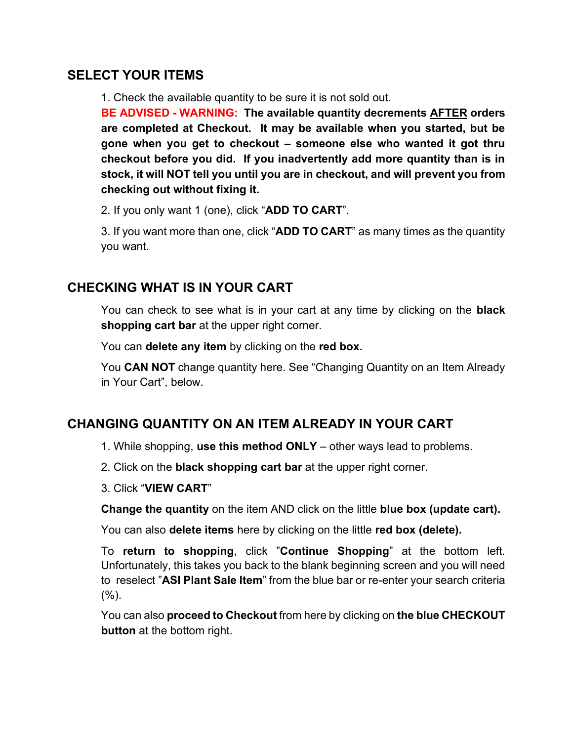#### **SELECT YOUR ITEMS**

1. Check the available quantity to be sure it is not sold out.

**BE ADVISED - WARNING: The available quantity decrements AFTER orders are completed at Checkout. It may be available when you started, but be gone when you get to checkout – someone else who wanted it got thru checkout before you did. If you inadvertently add more quantity than is in stock, it will NOT tell you until you are in checkout, and will prevent you from checking out without fixing it.**

2. If you only want 1 (one), click "**ADD TO CART**".

3. If you want more than one, click "**ADD TO CART**" as many times as the quantity you want.

### **CHECKING WHAT IS IN YOUR CART**

You can check to see what is in your cart at any time by clicking on the **black shopping cart bar** at the upper right corner.

You can **delete any item** by clicking on the **red box.**

You **CAN NOT** change quantity here. See "Changing Quantity on an Item Already in Your Cart", below.

## **CHANGING QUANTITY ON AN ITEM ALREADY IN YOUR CART**

- 1. While shopping, **use this method ONLY** other ways lead to problems.
- 2. Click on the **black shopping cart bar** at the upper right corner.
- 3. Click "**VIEW CART**"

**Change the quantity** on the item AND click on the little **blue box (update cart).**

You can also **delete items** here by clicking on the little **red box (delete).**

To **return to shopping**, click "**Continue Shopping**" at the bottom left. Unfortunately, this takes you back to the blank beginning screen and you will need to reselect "**ASI Plant Sale Item**" from the blue bar or re-enter your search criteria  $(%).$ 

You can also **proceed to Checkout** from here by clicking on **the blue CHECKOUT button** at the bottom right.